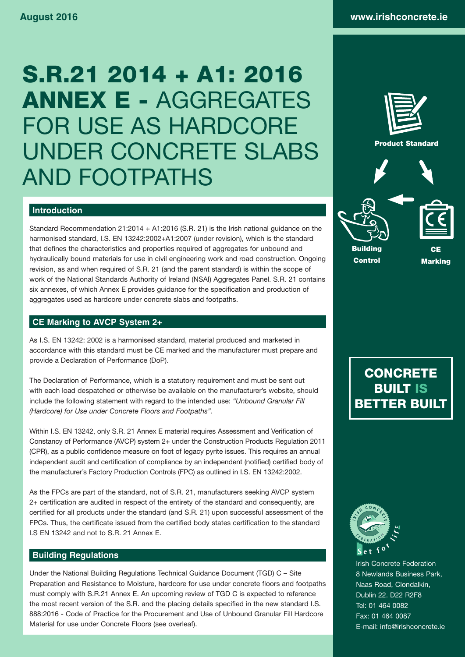# S.R.21 2014 + A1: 2016 ANNEX E - AGGREGATES FOR USE AS HARDCORE UNDER CONCRETE SLABS AND FOOTPATHS



# **Introduction**

Standard Recommendation 21:2014 + A1:2016 (S.R. 21) is the Irish national guidance on the harmonised standard, I.S. EN 13242:2002+A1:2007 (under revision), which is the standard that defines the characteristics and properties required of aggregates for unbound and hydraulically bound materials for use in civil engineering work and road construction. Ongoing revision, as and when required of S.R. 21 (and the parent standard) is within the scope of work of the National Standards Authority of Ireland (NSAI) Aggregates Panel. S.R. 21 contains six annexes, of which Annex E provides guidance for the specification and production of aggregates used as hardcore under concrete slabs and footpaths.

# **CE Marking to AVCP System 2+**

As I.S. EN 13242: 2002 is a harmonised standard, material produced and marketed in accordance with this standard must be CE marked and the manufacturer must prepare and provide a Declaration of Performance (DoP).

The Declaration of Performance, which is a statutory requirement and must be sent out with each load despatched or otherwise be available on the manufacturer's website, should include the following statement with regard to the intended use: *"Unbound Granular Fill (Hardcore) for Use under Concrete Floors and Footpaths".*

Within I.S. EN 13242, only S.R. 21 Annex E material requires Assessment and Verification of Constancy of Performance (AVCP) system 2+ under the Construction Products Regulation 2011 (CPR), as a public confidence measure on foot of legacy pyrite issues. This requires an annual independent audit and certification of compliance by an independent (notified) certified body of the manufacturer's Factory Production Controls (FPC) as outlined in I.S. EN 13242:2002.

As the FPCs are part of the standard, not of S.R. 21, manufacturers seeking AVCP system 2+ certification are audited in respect of the entirety of the standard and consequently, are certified for all products under the standard (and S.R. 21) upon successful assessment of the FPCs. Thus, the certificate issued from the certified body states certification to the standard I.S EN 13242 and not to S.R. 21 Annex E.

# **Building Regulations**

Under the National Building Regulations Technical Guidance Document (TGD) C – Site Preparation and Resistance to Moisture, hardcore for use under concrete floors and footpaths must comply with S.R.21 Annex E. An upcoming review of TGD C is expected to reference the most recent version of the S.R. and the placing details specified in the new standard I.S. 888:2016 - Code of Practice for the Procurement and Use of Unbound Granular Fill Hardcore Material for use under Concrete Floors (see overleaf).





Irish Concrete Federation 8 Newlands Business Park, Naas Road, Clondalkin, Dublin 22. D22 R2F8 Tel: 01 464 0082 Fax: 01 464 0087 E-mail: info@irishconcrete.ie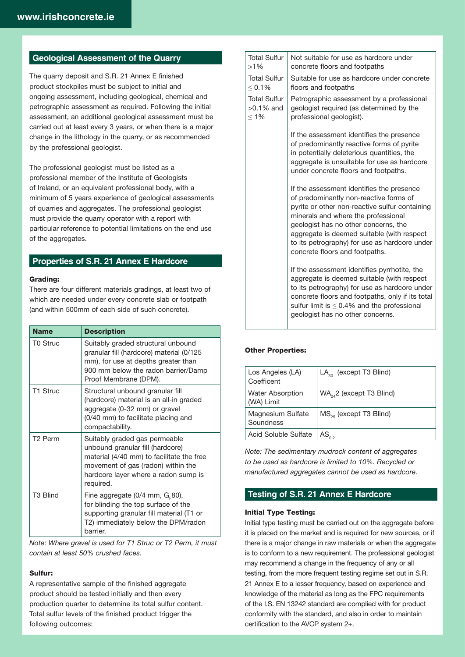## **Geological Assessment of the Quarry**

The quarry deposit and S.R. 21 Annex E finished product stockpiles must be subject to initial and ongoing assessment, including geological, chemical and petrographic assessment as required. Following the initial assessment, an additional geological assessment must be carried out at least every 3 years, or when there is a major change in the lithology in the quarry, or as recommended by the professional geologist.

The professional geologist must be listed as a professional member of the Institute of Geologists of Ireland, or an equivalent professional body, with a minimum of 5 years experience of geological assessments of quarries and aggregates. The professional geologist must provide the quarry operator with a report with particular reference to potential limitations on the end use of the aggregates.

## **Properties of S.R. 21 Annex E Hardcore**

#### Grading:

There are four different materials gradings, at least two of which are needed under every concrete slab or footpath (and within 500mm of each side of such concrete).

| <b>Name</b>          | <b>Description</b>                                                                                                                                                                                        |
|----------------------|-----------------------------------------------------------------------------------------------------------------------------------------------------------------------------------------------------------|
| T0 Struc             | Suitably graded structural unbound<br>granular fill (hardcore) material (0/125<br>mm), for use at depths greater than<br>900 mm below the radon barrier/Damp<br>Proof Membrane (DPM).                     |
| T1 Struc             | Structural unbound granular fill<br>(hardcore) material is an all-in graded<br>aggregate (0-32 mm) or gravel<br>(0/40 mm) to facilitate placing and<br>compactability.                                    |
| T <sub>2</sub> Perm  | Suitably graded gas permeable<br>unbound granular fill (hardcore)<br>material (4/40 mm) to facilitate the free<br>movement of gas (radon) within the<br>hardcore layer where a radon sump is<br>required. |
| T <sub>3</sub> Blind | Fine aggregate (0/4 mm, $G_F80$ ),<br>for blinding the top surface of the<br>supporting granular fill material (T1 or<br>T2) immediately below the DPM/radon<br>barrier.                                  |

*Note: Where gravel is used for T1 Struc or T2 Perm, it must contain at least 50% crushed faces.* 

#### Sulfur:

A representative sample of the finished aggregate product should be tested initially and then every production quarter to determine its total sulfur content. Total sulfur levels of the finished product trigger the following outcomes:

| <b>Total Sulfur</b><br>$>1\%$                  | Not suitable for use as hardcore under<br>concrete floors and footpaths                                                                                                                                                                                                                                                                               |
|------------------------------------------------|-------------------------------------------------------------------------------------------------------------------------------------------------------------------------------------------------------------------------------------------------------------------------------------------------------------------------------------------------------|
| <b>Total Sulfur</b><br>< 0.1%                  | Suitable for use as hardcore under concrete<br>floors and footpaths                                                                                                                                                                                                                                                                                   |
| <b>Total Sulfur</b><br>$>0.1\%$ and<br>$< 1\%$ | Petrographic assessment by a professional<br>geologist required (as determined by the<br>professional geologist).                                                                                                                                                                                                                                     |
|                                                | If the assessment identifies the presence<br>of predominantly reactive forms of pyrite<br>in potentially deleterious quantities, the<br>aggregate is unsuitable for use as hardcore<br>under concrete floors and footpaths.                                                                                                                           |
|                                                | If the assessment identifies the presence<br>of predominantly non-reactive forms of<br>pyrite or other non-reactive sulfur containing<br>minerals and where the professional<br>geologist has no other concerns, the<br>aggregate is deemed suitable (with respect<br>to its petrography) for use as hardcore under<br>concrete floors and footpaths. |
|                                                | If the assessment identifies pyrrhotite, the<br>aggregate is deemed suitable (with respect<br>to its petrography) for use as hardcore under<br>concrete floors and footpaths, only if its total<br>sulfur limit is $\leq 0.4\%$ and the professional<br>geologist has no other concerns.                                                              |

#### Other Properties:

| Los Angeles (LA)<br>Coefficent        | $LA_{30}$ (except T3 Blind)   |
|---------------------------------------|-------------------------------|
| <b>Water Absorption</b><br>(WA) Limit | $WA_{24}$ 2 (except T3 Blind) |
| Magnesium Sulfate<br>Soundness        | $MS_{25}$ (except T3 Blind)   |
| <b>Acid Soluble Sulfate</b>           | $AS_{0.2}$                    |

*Note: The sedimentary mudrock content of aggregates to be used as hardcore is limited to 10%. Recycled or manufactured aggregates cannot be used as hardcore.*

# **Testing of S.R. 21 Annex E Hardcore**

#### Initial Type Testing:

Initial type testing must be carried out on the aggregate before it is placed on the market and is required for new sources, or if there is a major change in raw materials or when the aggregate is to conform to a new requirement. The professional geologist may recommend a change in the frequency of any or all testing, from the more frequent testing regime set out in S.R. 21 Annex E to a lesser frequency, based on experience and knowledge of the material as long as the FPC requirements of the I.S. EN 13242 standard are complied with for product conformity with the standard, and also in order to maintain certification to the AVCP system 2+.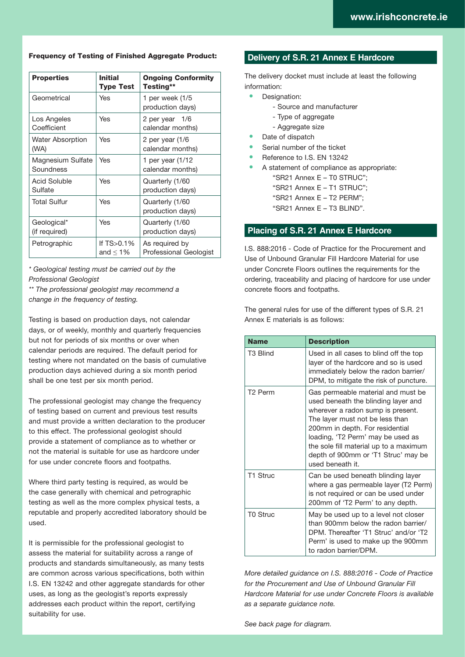#### Frequency of Testing of Finished Aggregate Product:

| <b>Properties</b>              | <b>Initial</b><br><b>Type Test</b> | <b>Ongoing Conformity</b><br>Testing**          |
|--------------------------------|------------------------------------|-------------------------------------------------|
| Geometrical                    | Yes                                | 1 per week (1/5<br>production days)             |
| Los Angeles<br>Coefficient     | Yes                                | 2 per year 1/6<br>calendar months)              |
| Water Absorption<br>(WA)       | Yes                                | 2 per year $(1/6)$<br>calendar months)          |
| Magnesium Sulfate<br>Soundness | Yes                                | 1 per year (1/12<br>calendar months)            |
| Acid Soluble<br>Sulfate        | Yes                                | Quarterly (1/60<br>production days)             |
| Total Sulfur                   | Yes                                | Quarterly (1/60<br>production days)             |
| Geological*<br>(if required)   | Yes                                | Quarterly (1/60<br>production days)             |
| Petrographic                   | If $TS > 0.1%$<br>and $\leq 1\%$   | As required by<br><b>Professional Geologist</b> |

*\* Geological testing must be carried out by the Professional Geologist*

*\*\* The professional geologist may recommend a change in the frequency of testing.*

Testing is based on production days, not calendar days, or of weekly, monthly and quarterly frequencies but not for periods of six months or over when calendar periods are required. The default period for testing where not mandated on the basis of cumulative production days achieved during a six month period shall be one test per six month period.

The professional geologist may change the frequency of testing based on current and previous test results and must provide a written declaration to the producer to this effect. The professional geologist should provide a statement of compliance as to whether or not the material is suitable for use as hardcore under for use under concrete floors and footpaths.

Where third party testing is required, as would be the case generally with chemical and petrographic testing as well as the more complex physical tests, a reputable and properly accredited laboratory should be used.

It is permissible for the professional geologist to assess the material for suitability across a range of products and standards simultaneously, as many tests are common across various specifications, both within I.S. EN 13242 and other aggregate standards for other uses, as long as the geologist's reports expressly addresses each product within the report, certifying suitability for use.

## **Delivery of S.R. 21 Annex E Hardcore**

The delivery docket must include at least the following information:

- Designation:
	- Source and manufacturer
	- Type of aggregate
	- Aggregate size
- Date of dispatch
- Serial number of the ticket
- Reference to I.S. EN 13242
- A statement of compliance as appropriate:
	- "SR21 Annex E T0 STRUC";
	- "SR21 Annex E T1 STRUC";
	- "SR21 Annex E T2 PERM";
	- "SR21 Annex E T3 BLIND".

### **Placing of S.R. 21 Annex E Hardcore**

I.S. 888:2016 - Code of Practice for the Procurement and Use of Unbound Granular Fill Hardcore Material for use under Concrete Floors outlines the requirements for the ordering, traceability and placing of hardcore for use under concrete floors and footpaths.

The general rules for use of the different types of S.R. 21 Annex E materials is as follows:

| <b>Name</b>          | <b>Description</b>                                                                                                                                                                                                                                                                                                             |
|----------------------|--------------------------------------------------------------------------------------------------------------------------------------------------------------------------------------------------------------------------------------------------------------------------------------------------------------------------------|
| T <sub>3</sub> Blind | Used in all cases to blind off the top<br>layer of the hardcore and so is used<br>immediately below the radon barrier/<br>DPM, to mitigate the risk of puncture.                                                                                                                                                               |
| T <sub>2</sub> Perm  | Gas permeable material and must be<br>used beneath the blinding layer and<br>wherever a radon sump is present.<br>The layer must not be less than<br>200mm in depth. For residential<br>loading, 'T2 Perm' may be used as<br>the sole fill material up to a maximum<br>depth of 900mm or 'T1 Struc' may be<br>used beneath it. |
| T1 Struc             | Can be used beneath blinding layer<br>where a gas permeable layer (T2 Perm)<br>is not required or can be used under<br>200mm of 'T2 Perm' to any depth.                                                                                                                                                                        |
| <b>T0 Struc</b>      | May be used up to a level not closer<br>than 900mm below the radon barrier/<br>DPM. Thereafter 'T1 Struc' and/or 'T2<br>Perm' is used to make up the 900mm<br>to radon barrier/DPM.                                                                                                                                            |

*More detailed guidance on I.S. 888:2016 - Code of Practice for the Procurement and Use of Unbound Granular Fill Hardcore Material for use under Concrete Floors is available as a separate guidance note.*

*See back page for diagram.*